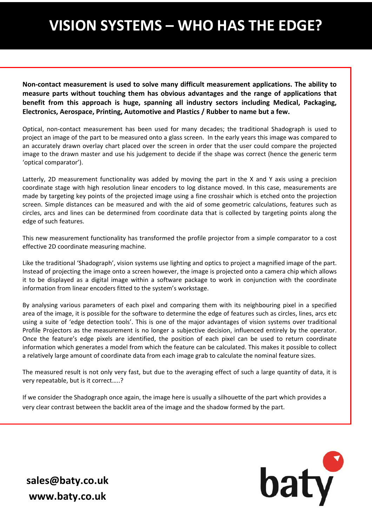**Non‐contact measurement is used to solve many difficult measurement applications. The ability to measure parts without touching them has obvious advantages and the range of applications that benefit from this approach is huge, spanning all industry sectors including Medical, Packaging, Electronics, Aerospace, Printing, Automotive and Plastics / Rubber to name but a few.**

Optical, non‐contact measurement has been used for many decades; the traditional Shadograph is used to project an image of the part to be measured onto a glass screen. In the early years this image was compared to an accurately drawn overlay chart placed over the screen in order that the user could compare the projected image to the drawn master and use his judgement to decide if the shape was correct (hence the generic term 'optical comparator').

Latterly, 2D measurement functionality was added by moving the part in the X and Y axis using a precision coordinate stage with high resolution linear encoders to log distance moved. In this case, measurements are made by targeting key points of the projected image using a fine crosshair which is etched onto the projection screen. Simple distances can be measured and with the aid of some geometric calculations, features such as circles, arcs and lines can be determined from coordinate data that is collected by targeting points along the edge of such features.

This new measurement functionality has transformed the profile projector from a simple comparator to a cost effective 2D coordinate measuring machine.

Like the traditional 'Shadograph', vision systems use lighting and optics to project a magnified image of the part. Instead of projecting the image onto a screen however, the image is projected onto a camera chip which allows it to be displayed as a digital image within a software package to work in conjunction with the coordinate information from linear encoders fitted to the system's workstage.

By analysing various parameters of each pixel and comparing them with its neighbouring pixel in a specified area of the image, it is possible for the software to determine the edge of features such as circles, lines, arcs etc using a suite of 'edge detection tools'. This is one of the major advantages of vision systems over traditional Profile Projectors as the measurement is no longer a subjective decision, influenced entirely by the operator. Once the feature's edge pixels are identified, the position of each pixel can be used to return coordinate information which generates a model from which the feature can be calculated. This makes it possible to collect a relatively large amount of coordinate data from each image grab to calculate the nominal feature sizes.

The measured result is not only very fast, but due to the averaging effect of such a large quantity of data, it is very repeatable, but is it correct…..?

If we consider the Shadograph once again, the image here is usually a silhouette of the part which provides a very clear contrast between the backlit area of the image and the shadow formed by the part.



**sales@baty.co.uk www.baty.co.uk**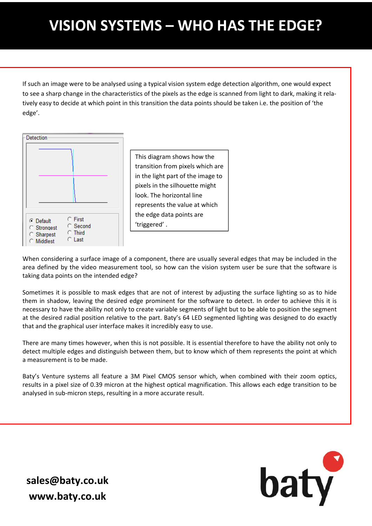If such an image were to be analysed using a typical vision system edge detection algorithm, one would expect to see a sharp change in the characteristics of the pixels as the edge is scanned from light to dark, making it rela‐ tively easy to decide at which point in this transition the data points should be taken i.e. the position of 'the edge'.



This diagram shows how the transition from pixels which are in the light part of the image to pixels in the silhouette might look. The horizontal line represents the value at which the edge data points are 'triggered' .

When considering a surface image of a component, there are usually several edges that may be included in the area defined by the video measurement tool, so how can the vision system user be sure that the software is taking data points on the intended edge?

Sometimes it is possible to mask edges that are not of interest by adjusting the surface lighting so as to hide them in shadow, leaving the desired edge prominent for the software to detect. In order to achieve this it is necessary to have the ability not only to create variable segments of light but to be able to position the segment at the desired radial position relative to the part. Baty's 64 LED segmented lighting was designed to do exactly that and the graphical user interface makes it incredibly easy to use.

There are many times however, when this is not possible. It is essential therefore to have the ability not only to detect multiple edges and distinguish between them, but to know which of them represents the point at which a measurement is to be made.

Baty's Venture systems all feature a 3M Pixel CMOS sensor which, when combined with their zoom optics, results in a pixel size of 0.39 micron at the highest optical magnification. This allows each edge transition to be analysed in sub‐micron steps, resulting in a more accurate result.

baty

**sales@baty.co.uk www.baty.co.uk**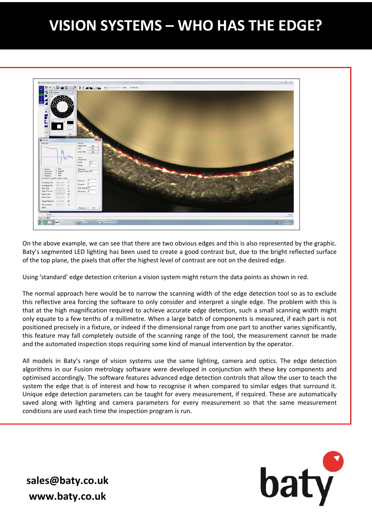

On the above example, we can see that there are two obvious edges and this is also represented by the graphic. Baty's segmented LED lighting has been used to create a good contrast but, due to the bright reflected surface of the top plane, the pixels that offer the highest level of contrast are not on the desired edge.

Using 'standard' edge detection criterion a vision system might return the data points as shown in red.

The normal approach here would be to narrow the scanning width of the edge detection tool so as to exclude this reflective area forcing the software to only consider and interpret a single edge. The problem with this is that at the high magnification required to achieve accurate edge detection, such a small scanning width might only equate to a few tenths of a millimetre. When a large batch of components is measured, if each part is not positioned precisely in a fixture, or indeed if the dimensional range from one part to another varies significantly, this feature may fall completely outside of the scanning range of the tool, the measurement cannot be made and the automated inspection stops requiring some kind of manual intervention by the operator.

All models in Baty's range of vision systems use the same lighting, camera and optics. The edge detection algorithms in our Fusion metrology software were developed in conjunction with these key components and optimised accordingly. The software features advanced edge detection controls that allow the user to teach the system the edge that is of interest and how to recognise it when compared to similar edges that surround it. Unique edge detection parameters can be taught for every measurement, if required. These are automatically saved along with lighting and camera parameters for every measurement so that the same measurement conditions are used each time the inspection program is run.

baty

**sales@baty.co.uk www.baty.co.uk**